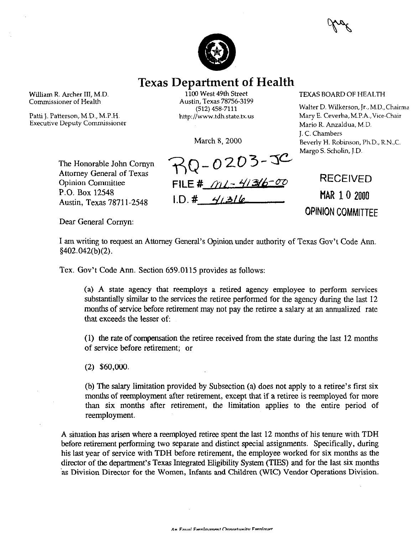

## **Texas Department of Health**

William R. Archer III, M.D. Commissioner of Health

Patti L. Patterson, M.D., M.P.H. Executive Deputy Commissioner

1100 West 49th Street Austin, Texas 78756-3199 (512) 458-7111 http://www.tdh.state.tx.us

March 8, 2000

TEXAS BOARD OF HEALTH

Walter D. Wilkerson, Jr., M.D.,Chairma Mary E. Ceverha,M.P.A.,Vice-Chair Mario R. Anzaldua, M.D. J. C. Chambers Beverly H. Robinson, Ph.D., R.N.,C. Margo S. Scholin, J-D.

The Honorable John Comyn Attorney General of Texas Opinion Committee P.O. Box 12548 Austin, Texas 78711-2548

 $70 - 0203 - 30$ **FILE # 16-41316-4**  $ID. # 41316$ 

RECEIVED **MAR 10 2000 OPINION COMMITTEE** 

Dear General Comyn:

I am writing to request an Attorney General's Opinion under authority of Texas Gov't Code Ann. 5402.042(b)(2).

Tex. Gov't Code Ann. Section 659.0115 provides as follows:

(a) A state agency that reemploys a retired agency employee to perform services substantially similar to the services the retiree performed for the agency during the last 12 months of service before retirement may not pay the retiree a salary at an annualized rate that exceeds the lesser of:

(1) the rate of compensation the retiree received from the state during the last 12 months of service before retirement; or

 $(2)$  \$60,000.

(b) The salary limitation provided by Subsection (a) does not apply to a retiree's first six months of reemployment after retirement, except that if a retiree is reemployed for more than six months after retirement, the limitation applies to the entire period of reemployment.

A situation has arisen where a reemployed retiree spent the last 12 months of his tenure with TDH before retirement performing two separate and distinct special assignments. Specifically, during his last year of service with TDH before retirement, the employee worked for six months as the director of the department's Texas Integrated Eligibility System (TIES) and for the last six months .as Division Director for the Women, Infants and Children (WIC) Vendor Operations Division.